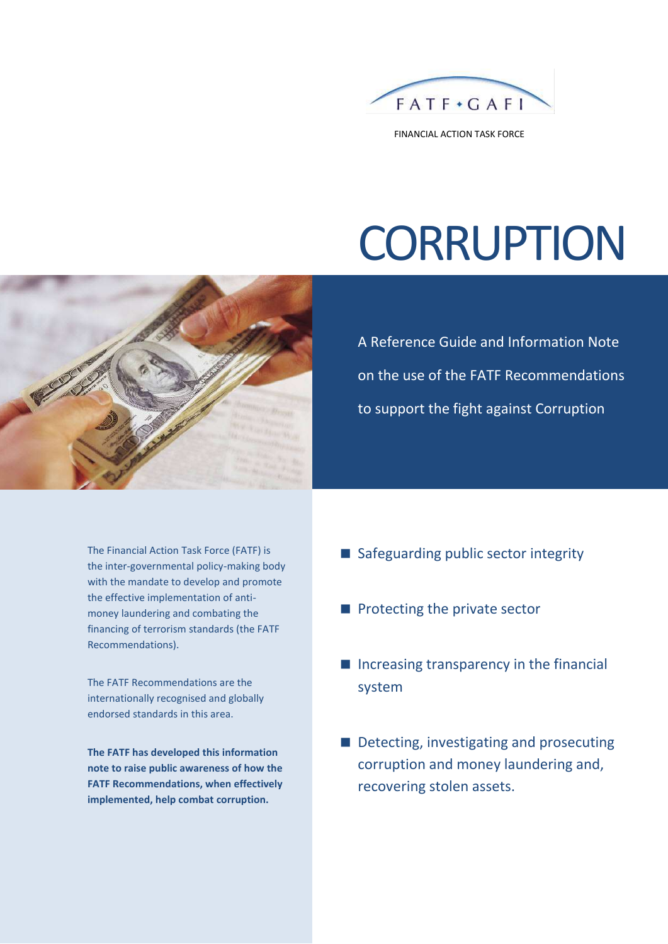

FINANCIAL ACTION TASK FORCE

# **CORRUPTION**



A Reference Guide and Information Note on the use of the FATF Recommendations to support the fight against Corruption

The Financial Action Task Force (FATF) is the inter-governmental policy-making body with the mandate to develop and promote the effective implementation of antimoney laundering and combating the financing of terrorism standards (the FATF Recommendations).

The FATF Recommendations are the internationally recognised and globally endorsed standards in this area.

**The FATF has developed this information note to raise public awareness of how the FATF Recommendations, when effectively implemented, help combat corruption.**

- Safeguarding public sector integrity
- $\blacksquare$  Protecting the private sector
- $\blacksquare$  Increasing transparency in the financial system
- Detecting, investigating and prosecuting corruption and money laundering and, recovering stolen assets.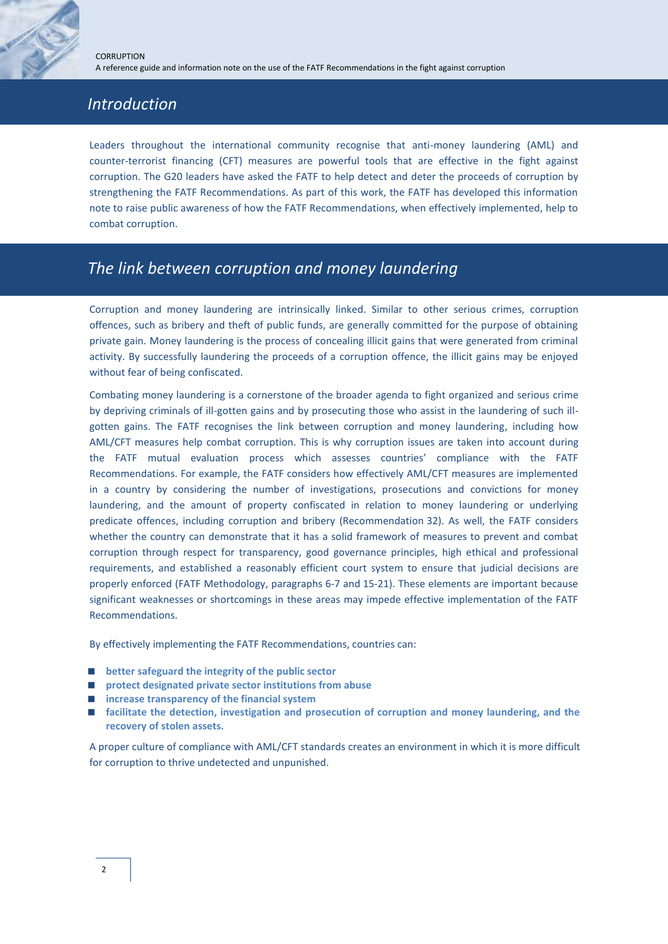# *Introduction*

Leaders throughout the international community recognise that anti-money laundering (AML) and counter-terrorist financing (CFT) measures are powerful tools that are effective in the fight against corruption. The G20 leaders have asked the FATF to help detect and deter the proceeds of corruption by strengthening the FATF Recommendations. As part of this work, the FATF has developed this information note to raise public awareness of how the FATF Recommendations, when effectively implemented, help to combat corruption.

# *The link between corruption and money laundering*

Corruption and money laundering are intrinsically linked. Similar to other serious crimes, corruption offences, such as bribery and theft of public funds, are generally committed for the purpose of obtaining private gain. Money laundering is the process of concealing illicit gains that were generated from criminal activity. By successfully laundering the proceeds of a corruption offence, the illicit gains may be enjoyed without fear of being confiscated.

Combating money laundering is a cornerstone of the broader agenda to fight organized and serious crime by depriving criminals of ill-gotten gains and by prosecuting those who assist in the laundering of such illgotten gains. The FATF recognises the link between corruption and money laundering, including how AML/CFT measures help combat corruption. This is why corruption issues are taken into account during the FATF mutual evaluation process which assesses countries' compliance with the FATF Recommendations. For example, the FATF considers how effectively AML/CFT measures are implemented in a country by considering the number of investigations, prosecutions and convictions for money laundering, and the amount of property confiscated in relation to money laundering or underlying predicate offences, including corruption and bribery (Recommendation 32). As well, the FATF considers whether the country can demonstrate that it has a solid framework of measures to prevent and combat corruption through respect for transparency, good governance principles, high ethical and professional requirements, and established a reasonably efficient court system to ensure that judicial decisions are properly enforced (FATF Methodology, paragraphs 6-7 and 15-21). These elements are important because significant weaknesses or shortcomings in these areas may impede effective implementation of the FATF Recommendations.

By effectively implementing the FATF Recommendations, countries can:

- **better safeguard the integrity of the public sector**
- **protect designated private sector institutions from abuse**
- **increase transparency of the financial system**
- **facilitate the detection, investigation and prosecution of corruption and money laundering, and the recovery of stolen assets.**

A proper culture of compliance with AML/CFT standards creates an environment in which it is more difficult for corruption to thrive undetected and unpunished.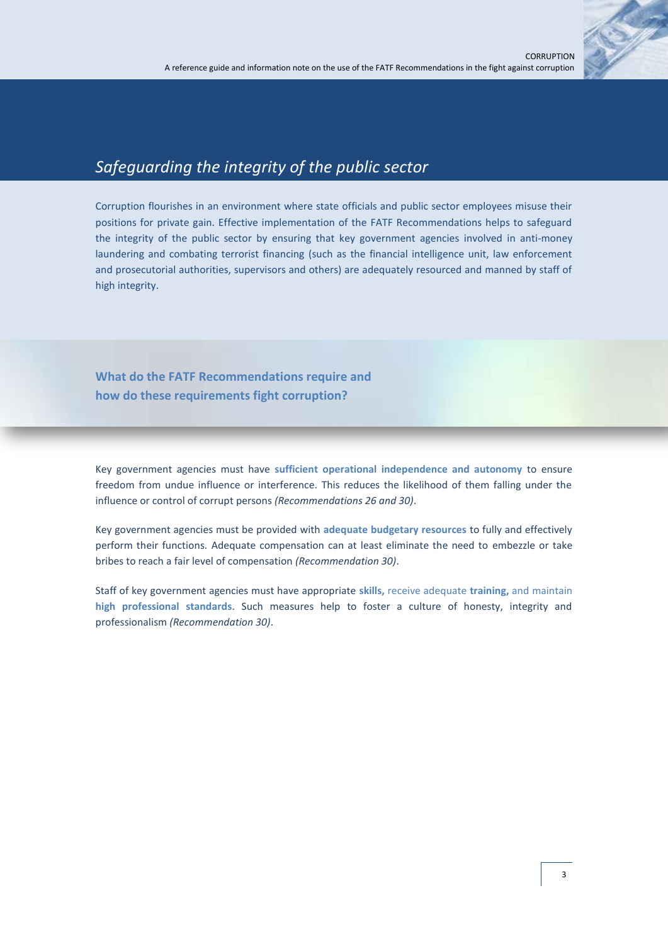

### *Safeguarding the integrity of the public sector*

Corruption flourishes in an environment where state officials and public sector employees misuse their positions for private gain. Effective implementation of the FATF Recommendations helps to safeguard the integrity of the public sector by ensuring that key government agencies involved in anti-money laundering and combating terrorist financing (such as the financial intelligence unit, law enforcement and prosecutorial authorities, supervisors and others) are adequately resourced and manned by staff of high integrity.

**What do the FATF Recommendations require and how do these requirements fight corruption?**

Key government agencies must have **sufficient operational independence and autonomy** to ensure freedom from undue influence or interference. This reduces the likelihood of them falling under the influence or control of corrupt persons *(Recommendations 26 and 30)*.

Key government agencies must be provided with **adequate budgetary resources** to fully and effectively perform their functions. Adequate compensation can at least eliminate the need to embezzle or take bribes to reach a fair level of compensation *(Recommendation 30)*.

Staff of key government agencies must have appropriate **skills,** receive adequate **training,** and maintain **high professional standards**. Such measures help to foster a culture of honesty, integrity and professionalism *(Recommendation 30)*.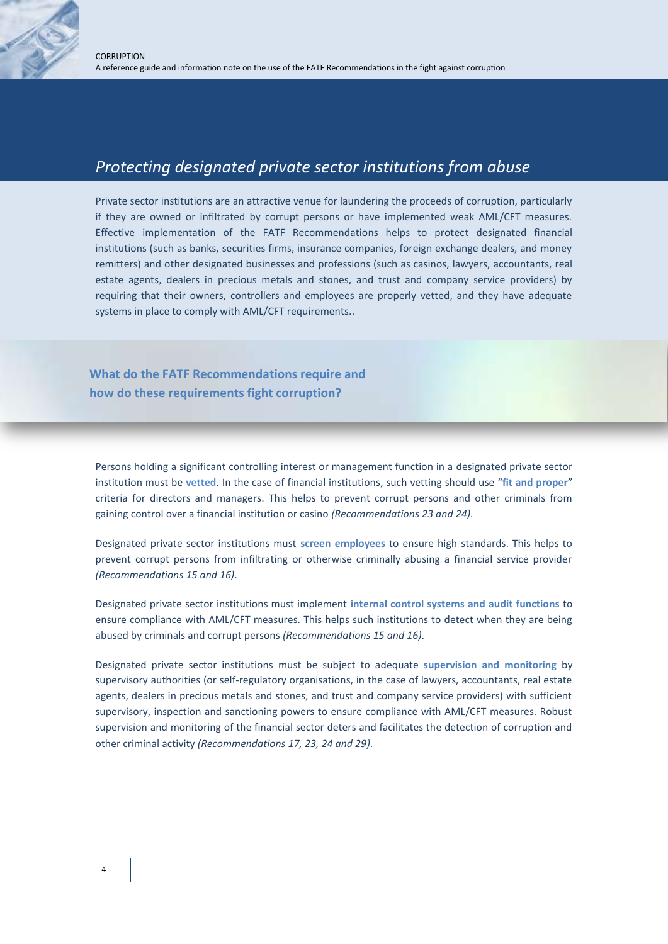#### *Protecting designated private sector institutions from abuse*

Private sector institutions are an attractive venue for laundering the proceeds of corruption, particularly if they are owned or infiltrated by corrupt persons or have implemented weak AML/CFT measures. Effective implementation of the FATF Recommendations helps to protect designated financial institutions (such as banks, securities firms, insurance companies, foreign exchange dealers, and money remitters) and other designated businesses and professions (such as casinos, lawyers, accountants, real estate agents, dealers in precious metals and stones, and trust and company service providers) by requiring that their owners, controllers and employees are properly vetted, and they have adequate systems in place to comply with AML/CFT requirements..

**What do the FATF Recommendations require and how do these requirements fight corruption?**

Persons holding a significant controlling interest or management function in a designated private sector institution must be **vetted**. In the case of financial institutions, such vetting should use "**fit and proper**" criteria for directors and managers. This helps to prevent corrupt persons and other criminals from gaining control over a financial institution or casino *(Recommendations 23 and 24)*.

Designated private sector institutions must **screen employees** to ensure high standards. This helps to prevent corrupt persons from infiltrating or otherwise criminally abusing a financial service provider *(Recommendations 15 and 16)*.

Designated private sector institutions must implement **internal control systems and audit functions** to ensure compliance with AML/CFT measures. This helps such institutions to detect when they are being abused by criminals and corrupt persons *(Recommendations 15 and 16)*.

Designated private sector institutions must be subject to adequate **supervision and monitoring** by supervisory authorities (or self-regulatory organisations, in the case of lawyers, accountants, real estate agents, dealers in precious metals and stones, and trust and company service providers) with sufficient supervisory, inspection and sanctioning powers to ensure compliance with AML/CFT measures. Robust supervision and monitoring of the financial sector deters and facilitates the detection of corruption and other criminal activity *(Recommendations 17, 23, 24 and 29)*.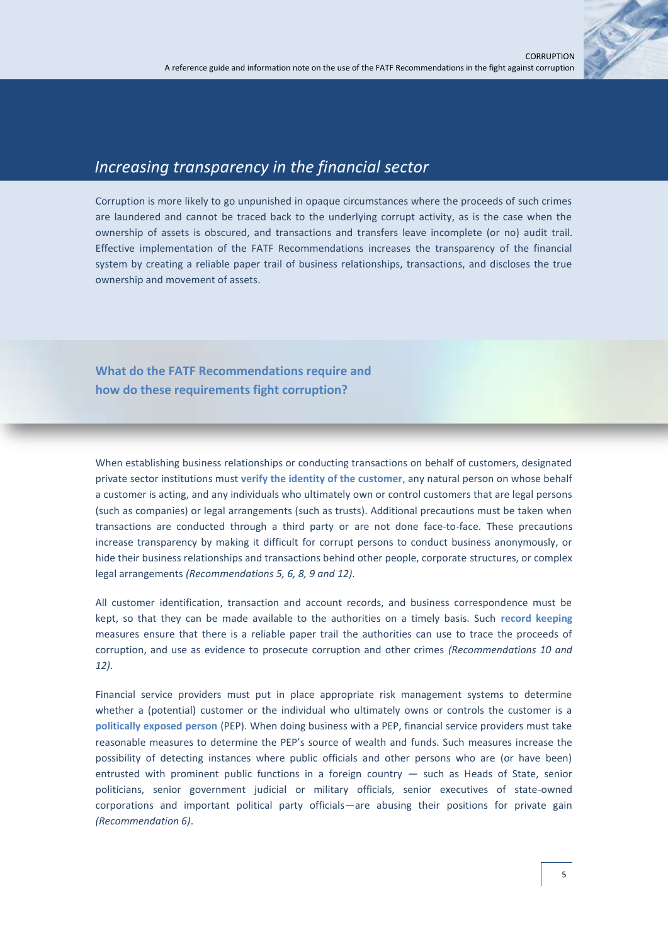

#### *Increasing transparency in the financial sector*

Corruption is more likely to go unpunished in opaque circumstances where the proceeds of such crimes are laundered and cannot be traced back to the underlying corrupt activity, as is the case when the ownership of assets is obscured, and transactions and transfers leave incomplete (or no) audit trail. Effective implementation of the FATF Recommendations increases the transparency of the financial system by creating a reliable paper trail of business relationships, transactions, and discloses the true ownership and movement of assets.

**What do the FATF Recommendations require and how do these requirements fight corruption?**

When establishing business relationships or conducting transactions on behalf of customers, designated private sector institutions must **verify the identity of the customer**, any natural person on whose behalf a customer is acting, and any individuals who ultimately own or control customers that are legal persons (such as companies) or legal arrangements (such as trusts). Additional precautions must be taken when transactions are conducted through a third party or are not done face-to-face. These precautions increase transparency by making it difficult for corrupt persons to conduct business anonymously, or hide their business relationships and transactions behind other people, corporate structures, or complex legal arrangements *(Recommendations 5, 6, 8, 9 and 12)*.

All customer identification, transaction and account records, and business correspondence must be kept, so that they can be made available to the authorities on a timely basis. Such **record keeping** measures ensure that there is a reliable paper trail the authorities can use to trace the proceeds of corruption, and use as evidence to prosecute corruption and other crimes *(Recommendations 10 and 12)*.

Financial service providers must put in place appropriate risk management systems to determine whether a (potential) customer or the individual who ultimately owns or controls the customer is a **politically exposed person** (PEP). When doing business with a PEP, financial service providers must take reasonable measures to determine the PEP's source of wealth and funds. Such measures increase the possibility of detecting instances where public officials and other persons who are (or have been) entrusted with prominent public functions in a foreign country — such as Heads of State, senior politicians, senior government judicial or military officials, senior executives of state-owned corporations and important political party officials—are abusing their positions for private gain *(Recommendation 6)*.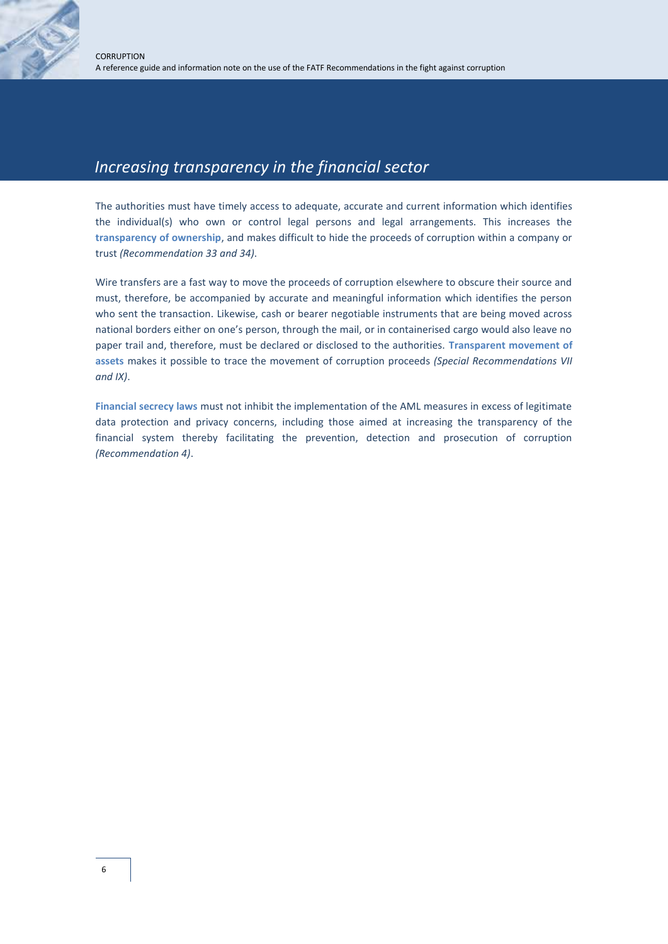### *Increasing transparency in the financial sector*

The authorities must have timely access to adequate, accurate and current information which identifies the individual(s) who own or control legal persons and legal arrangements. This increases the **transparency of ownership**, and makes difficult to hide the proceeds of corruption within a company or trust *(Recommendation 33 and 34)*.

Wire transfers are a fast way to move the proceeds of corruption elsewhere to obscure their source and must, therefore, be accompanied by accurate and meaningful information which identifies the person who sent the transaction. Likewise, cash or bearer negotiable instruments that are being moved across national borders either on one's person, through the mail, or in containerised cargo would also leave no paper trail and, therefore, must be declared or disclosed to the authorities. **Transparent movement of assets** makes it possible to trace the movement of corruption proceeds *(Special Recommendations VII and IX)*.

**Financial secrecy laws** must not inhibit the implementation of the AML measures in excess of legitimate data protection and privacy concerns, including those aimed at increasing the transparency of the financial system thereby facilitating the prevention, detection and prosecution of corruption *(Recommendation 4)*.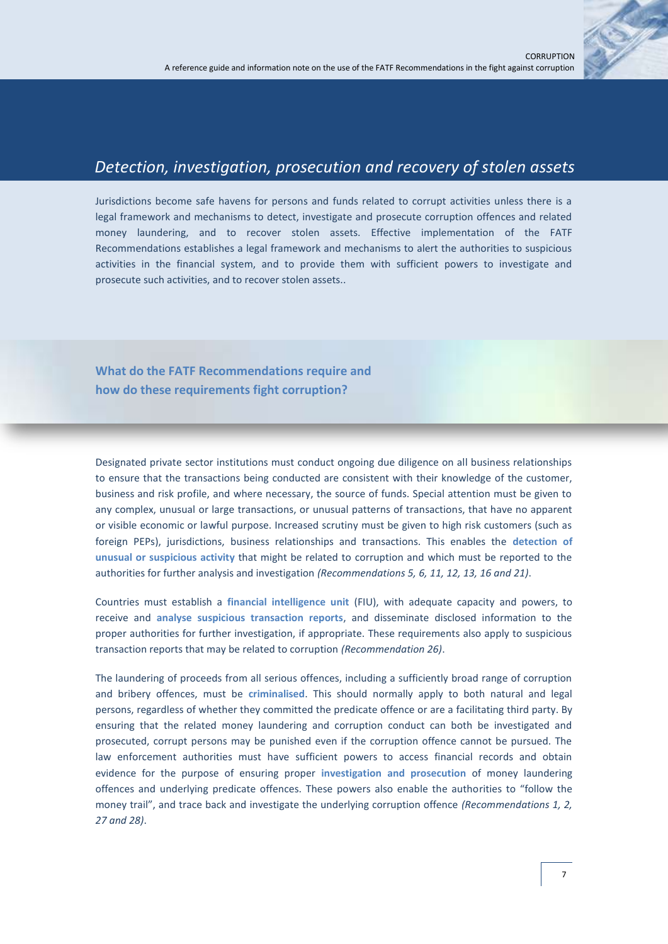

## *Detection, investigation, prosecution and recovery of stolen assets*

Jurisdictions become safe havens for persons and funds related to corrupt activities unless there is a legal framework and mechanisms to detect, investigate and prosecute corruption offences and related money laundering, and to recover stolen assets. Effective implementation of the FATF Recommendations establishes a legal framework and mechanisms to alert the authorities to suspicious activities in the financial system, and to provide them with sufficient powers to investigate and prosecute such activities, and to recover stolen assets..

**What do the FATF Recommendations require and how do these requirements fight corruption?**

Designated private sector institutions must conduct ongoing due diligence on all business relationships to ensure that the transactions being conducted are consistent with their knowledge of the customer, business and risk profile, and where necessary, the source of funds. Special attention must be given to any complex, unusual or large transactions, or unusual patterns of transactions, that have no apparent or visible economic or lawful purpose. Increased scrutiny must be given to high risk customers (such as foreign PEPs), jurisdictions, business relationships and transactions. This enables the **detection of unusual or suspicious activity** that might be related to corruption and which must be reported to the authorities for further analysis and investigation *(Recommendations 5, 6, 11, 12, 13, 16 and 21)*.

Countries must establish a **financial intelligence unit** (FIU), with adequate capacity and powers, to receive and **analyse suspicious transaction reports**, and disseminate disclosed information to the proper authorities for further investigation, if appropriate. These requirements also apply to suspicious transaction reports that may be related to corruption *(Recommendation 26)*.

The laundering of proceeds from all serious offences, including a sufficiently broad range of corruption and bribery offences, must be **criminalised**. This should normally apply to both natural and legal persons, regardless of whether they committed the predicate offence or are a facilitating third party. By ensuring that the related money laundering and corruption conduct can both be investigated and prosecuted, corrupt persons may be punished even if the corruption offence cannot be pursued. The law enforcement authorities must have sufficient powers to access financial records and obtain evidence for the purpose of ensuring proper **investigation and prosecution** of money laundering offences and underlying predicate offences. These powers also enable the authorities to "follow the money trail", and trace back and investigate the underlying corruption offence *(Recommendations 1, 2, 27 and 28)*.